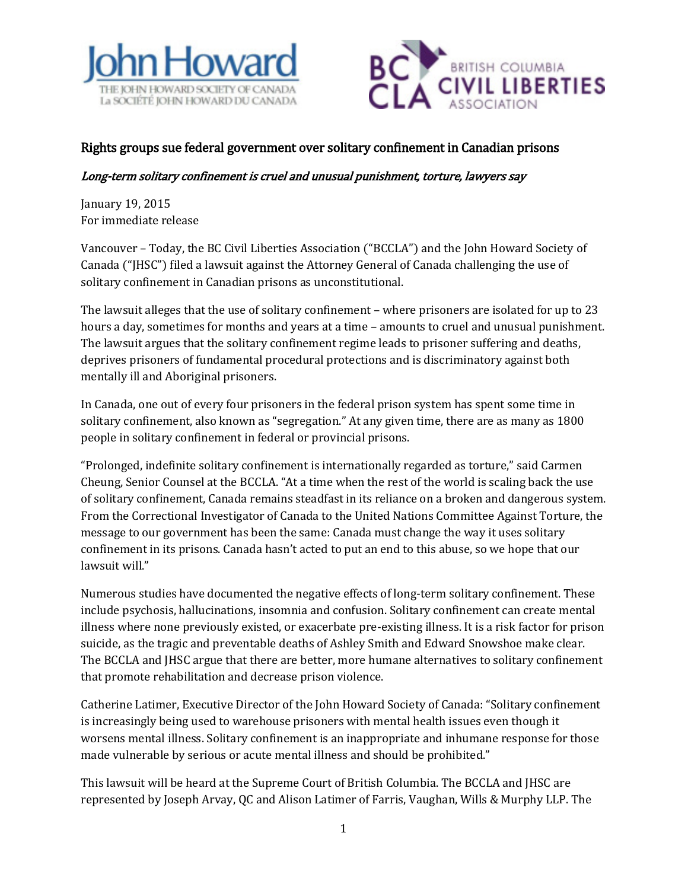



## Rights groups sue federal government over solitary confinement in Canadian prisons

## Long-term solitary confinement is cruel and unusual punishment, torture, lawyers say

January 19, 2015 For immediate release

Vancouver – Today, the BC Civil Liberties Association ("BCCLA") and the John Howard Society of Canada ("JHSC") filed a lawsuit against the Attorney General of Canada challenging the use of solitary confinement in Canadian prisons as unconstitutional.

The lawsuit alleges that the use of solitary confinement – where prisoners are isolated for up to 23 hours a day, sometimes for months and years at a time – amounts to cruel and unusual punishment. The lawsuit argues that the solitary confinement regime leads to prisoner suffering and deaths, deprives prisoners of fundamental procedural protections and is discriminatory against both mentally ill and Aboriginal prisoners.

In Canada, one out of every four prisoners in the federal prison system has spent some time in solitary confinement, also known as "segregation." At any given time, there are as many as 1800 people in solitary confinement in federal or provincial prisons.

"Prolonged, indefinite solitary confinement is internationally regarded as torture," said Carmen Cheung, Senior Counsel at the BCCLA. "At a time when the rest of the world is scaling back the use of solitary confinement, Canada remains steadfast in its reliance on a broken and dangerous system. From the Correctional Investigator of Canada to the United Nations Committee Against Torture, the message to our government has been the same: Canada must change the way it uses solitary confinement in its prisons. Canada hasn't acted to put an end to this abuse, so we hope that our lawsuit will."

Numerous studies have documented the negative effects of long-term solitary confinement. These include psychosis, hallucinations, insomnia and confusion. Solitary confinement can create mental illness where none previously existed, or exacerbate pre-existing illness. It is a risk factor for prison suicide, as the tragic and preventable deaths of Ashley Smith and Edward Snowshoe make clear. The BCCLA and JHSC argue that there are better, more humane alternatives to solitary confinement that promote rehabilitation and decrease prison violence.

Catherine Latimer, Executive Director of the John Howard Society of Canada: "Solitary confinement is increasingly being used to warehouse prisoners with mental health issues even though it worsens mental illness. Solitary confinement is an inappropriate and inhumane response for those made vulnerable by serious or acute mental illness and should be prohibited."

This lawsuit will be heard at the Supreme Court of British Columbia. The BCCLA and JHSC are represented by Joseph Arvay, QC and Alison Latimer of Farris, Vaughan, Wills & Murphy LLP. The